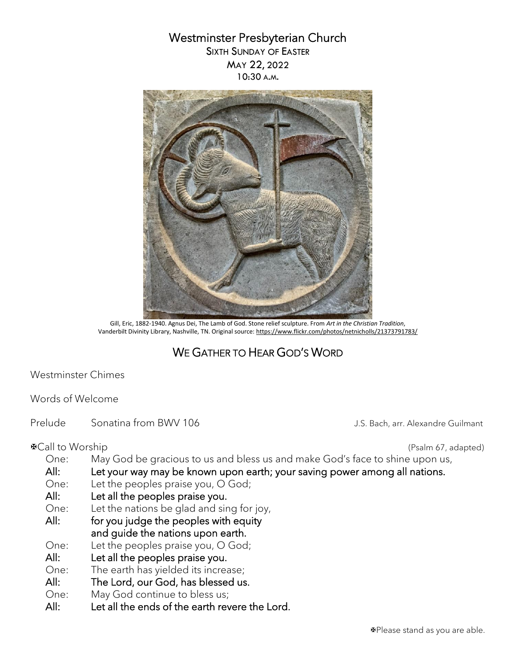# Westminster Presbyterian Church

SIXTH SUNDAY OF EASTER MAY 22, 2022 10:30 A.M.



 Gill, Eric, 1882-1940. Agnus Dei, The Lamb of God. Stone relief sculpture. From *Art in the Christian Tradition*, Vanderbilt Divinity Library, Nashville, TN. Original source[: https://www.flickr.com/photos/netnicholls/21373791783/](https://www.flickr.com/photos/netnicholls/21373791783/)

# WE GATHER TO HEAR GOD'S WORD

Westminster Chimes

Words of Welcome

Prelude Sonatina from BWV 106 Channel Constanting Sonatina from BWV 106

Call to Worship (Psalm 67, adapted)

- One: May God be gracious to us and bless us and make God's face to shine upon us,
- All: Let your way may be known upon earth; your saving power among all nations.
- One: Let the peoples praise you, O God;
- All: Let all the peoples praise you.
- One: Let the nations be glad and sing for joy,
- All: for you judge the peoples with equity and guide the nations upon earth.
- One: Let the peoples praise you, O God;
- All: Let all the peoples praise you.
- One: The earth has yielded its increase;
- All: The Lord, our God, has blessed us.
- One: May God continue to bless us;
- All: Let all the ends of the earth revere the Lord.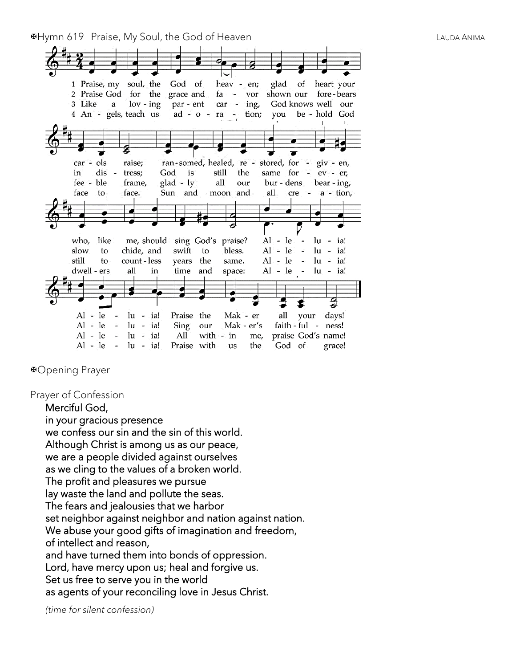Hymn 619 Praise, My Soul, the God of Heaven LAUDA ANIMA



Opening Prayer

Prayer of Confession

Merciful God, in your gracious presence we confess our sin and the sin of this world. Although Christ is among us as our peace, we are a people divided against ourselves as we cling to the values of a broken world. The profit and pleasures we pursue lay waste the land and pollute the seas. The fears and jealousies that we harbor set neighbor against neighbor and nation against nation. We abuse your good gifts of imagination and freedom, of intellect and reason, and have turned them into bonds of oppression. Lord, have mercy upon us; heal and forgive us. Set us free to serve you in the world as agents of your reconciling love in Jesus Christ.

*(time for silent confession)*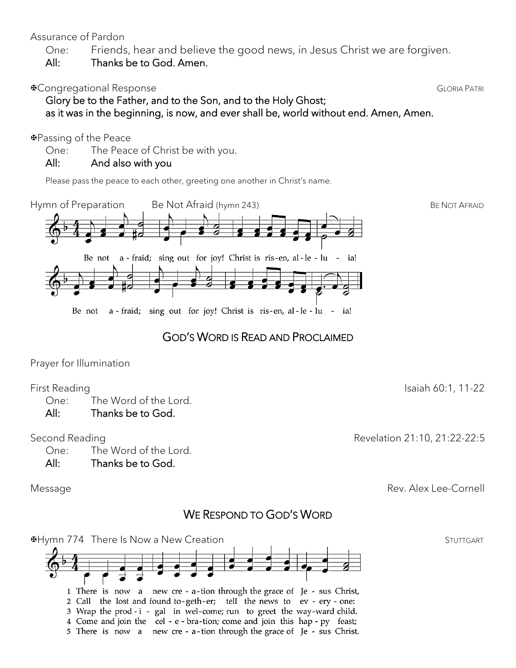## Assurance of Pardon

One: Friends, hear and believe the good news, in Jesus Christ we are forgiven.

All: Thanks be to God. Amen.

# **EXAMPLE Congregational Response GLORIA PATRI**

 Glory be to the Father, and to the Son, and to the Holy Ghost; as it was in the beginning, is now, and ever shall be, world without end. Amen, Amen.

## Passing of the Peace

One: The Peace of Christ be with you.

# All: And also with you

Please pass the peace to each other, greeting one another in Christ's name.



# GOD'S WORD IS READ AND PROCLAIMED

Prayer for Illumination

# First Reading Isaiah 60:1, 11-22

One: The Word of the Lord.

# All: Thanks be to God.

# Second Reading **Revelation 21:10, 21:22-22:5**

One: The Word of the Lord.

All: Thanks be to God.

Message Rev. Alex Lee-Cornell

# WE RESPOND TO GOD'S WORD

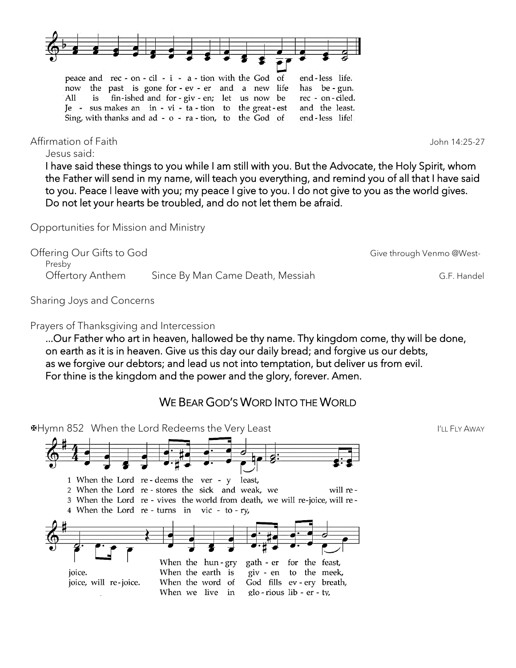

Affirmation of Faith John 14:25-27

Jesus said:

I have said these things to you while I am still with you. But the Advocate, the Holy Spirit, whom the Father will send in my name, will teach you everything, and remind you of all that I have said to you. Peace I leave with you; my peace I give to you. I do not give to you as the world gives. Do not let your hearts be troubled, and do not let them be afraid.

Opportunities for Mission and Ministry

Offering Our Gifts to God Give through Venmo @West-Presby Offertory Anthem Since By Man Came Death, Messiah G.F. Handel

Sharing Joys and Concerns

Prayers of Thanksgiving and Intercession

...Our Father who art in heaven, hallowed be thy name. Thy kingdom come, thy will be done, on earth as it is in heaven. Give us this day our daily bread; and forgive us our debts, as we forgive our debtors; and lead us not into temptation, but deliver us from evil. For thine is the kingdom and the power and the glory, forever. Amen.

# WE BEAR GOD'S WORD INTO THE WORLD

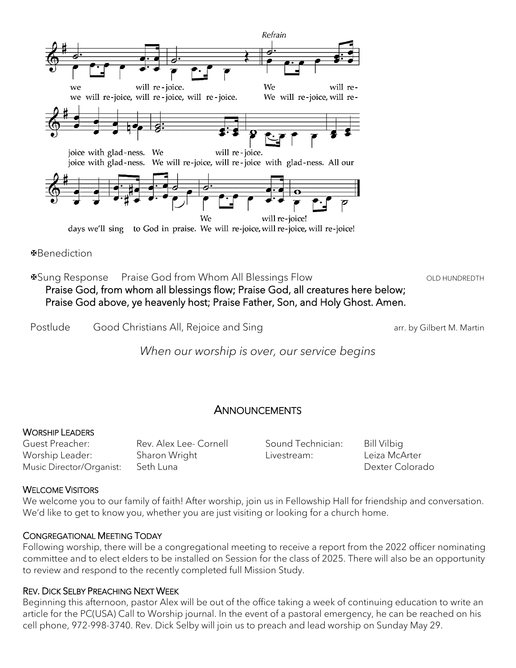

Benediction

⊕Sung Response Praise God from Whom All Blessings Flow Network CLD HUNDREDTH Praise God, from whom all blessings flow; Praise God, all creatures here below; Praise God above, ye heavenly host; Praise Father, Son, and Holy Ghost. Amen.

Postlude Good Christians All, Rejoice and Sing arr. by Gilbert M. Martin

*When our worship is over, our service begins*

## **ANNOUNCEMENTS**

#### WORSHIP LEADERS

Guest Preacher: Rev. Alex Lee- Cornell Worship Leader: Sharon Wright Music Director/Organist: Seth Luna

Sound Technician: Bill Vilbig Livestream: Leiza McArter

Dexter Colorado

### WELCOME VISITORS

We welcome you to our family of faith! After worship, join us in Fellowship Hall for friendship and conversation. We'd like to get to know you, whether you are just visiting or looking for a church home.

### CONGREGATIONAL MEETING TODAY

Following worship, there will be a congregational meeting to receive a report from the 2022 officer nominating committee and to elect elders to be installed on Session for the class of 2025. There will also be an opportunity to review and respond to the recently completed full Mission Study.

### REV. DICK SELBY PREACHING NEXT WEEK

Beginning this afternoon, pastor Alex will be out of the office taking a week of continuing education to write an article for the PC(USA) Call to Worship journal. In the event of a pastoral emergency, he can be reached on his cell phone, 972-998-3740. Rev. Dick Selby will join us to preach and lead worship on Sunday May 29.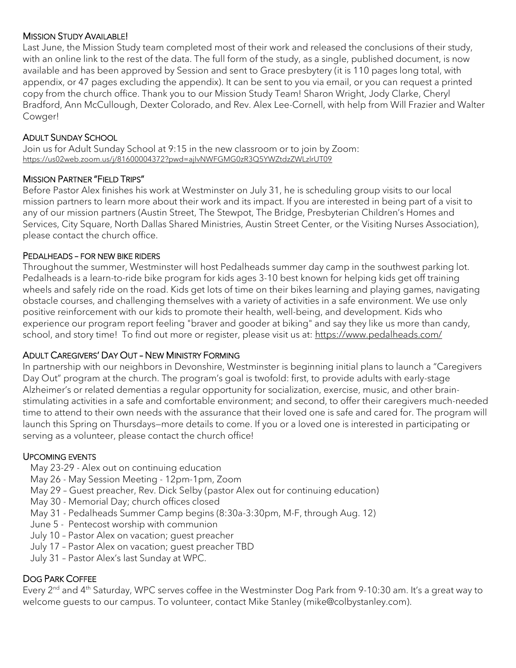### MISSION STUDY AVAILABLE!

Last June, the Mission Study team completed most of their work and released the conclusions of their study, with an online link to the rest of the data. The full form of the study, as a single, published document, is now available and has been approved by Session and sent to Grace presbytery (it is 110 pages long total, with appendix, or 47 pages excluding the appendix). It can be sent to you via email, or you can request a printed copy from the church office. Thank you to our Mission Study Team! Sharon Wright, Jody Clarke, Cheryl Bradford, Ann McCullough, Dexter Colorado, and Rev. Alex Lee-Cornell, with help from Will Frazier and Walter Cowger!

#### ADULT SUNDAY SCHOOL

Join us for Adult Sunday School at 9:15 in the new classroom or to join by Zoom: <https://us02web.zoom.us/j/81600004372?pwd=ajIvNWFGMG0zR3Q5YWZtdzZWLzlrUT09>

#### MISSION PARTNER "FIELD TRIPS"

Before Pastor Alex finishes his work at Westminster on July 31, he is scheduling group visits to our local mission partners to learn more about their work and its impact. If you are interested in being part of a visit to any of our mission partners (Austin Street, The Stewpot, The Bridge, Presbyterian Children's Homes and Services, City Square, North Dallas Shared Ministries, Austin Street Center, or the Visiting Nurses Association), please contact the church office.

#### PEDALHEADS – FOR NEW BIKE RIDERS

Throughout the summer, Westminster will host Pedalheads summer day camp in the southwest parking lot. Pedalheads is a learn-to-ride bike program for kids ages 3-10 best known for helping kids get off training wheels and safely ride on the road. Kids get lots of time on their bikes learning and playing games, navigating obstacle courses, and challenging themselves with a variety of activities in a safe environment. We use only positive reinforcement with our kids to promote their health, well-being, and development. Kids who experience our program report feeling "braver and gooder at biking" and say they like us more than candy, school, and story time! To find out more or register, please visit us at: <https://www.pedalheads.com/>

### ADULT CAREGIVERS' DAY OUT – NEW MINISTRY FORMING

In partnership with our neighbors in Devonshire, Westminster is beginning initial plans to launch a "Caregivers Day Out" program at the church. The program's goal is twofold: first, to provide adults with early-stage Alzheimer's or related dementias a regular opportunity for socialization, exercise, music, and other brainstimulating activities in a safe and comfortable environment; and second, to offer their caregivers much-needed time to attend to their own needs with the assurance that their loved one is safe and cared for. The program will launch this Spring on Thursdays—more details to come. If you or a loved one is interested in participating or serving as a volunteer, please contact the church office!

#### UPCOMING EVENTS

- May 23-29 Alex out on continuing education
- May 26 May Session Meeting 12pm-1pm, Zoom
- May 29 Guest preacher, Rev. Dick Selby (pastor Alex out for continuing education)
- May 30 Memorial Day; church offices closed
- May 31 Pedalheads Summer Camp begins (8:30a-3:30pm, M-F, through Aug. 12)
- June 5 Pentecost worship with communion
- July 10 Pastor Alex on vacation; guest preacher
- July 17 Pastor Alex on vacation; guest preacher TBD
- July 31 Pastor Alex's last Sunday at WPC.

### DOG PARK COFFEE

Every 2<sup>nd</sup> and 4<sup>th</sup> Saturday, WPC serves coffee in the Westminster Dog Park from 9-10:30 am. It's a great way to welcome guests to our campus. To volunteer, contact Mike Stanley (mike@colbystanley.com).